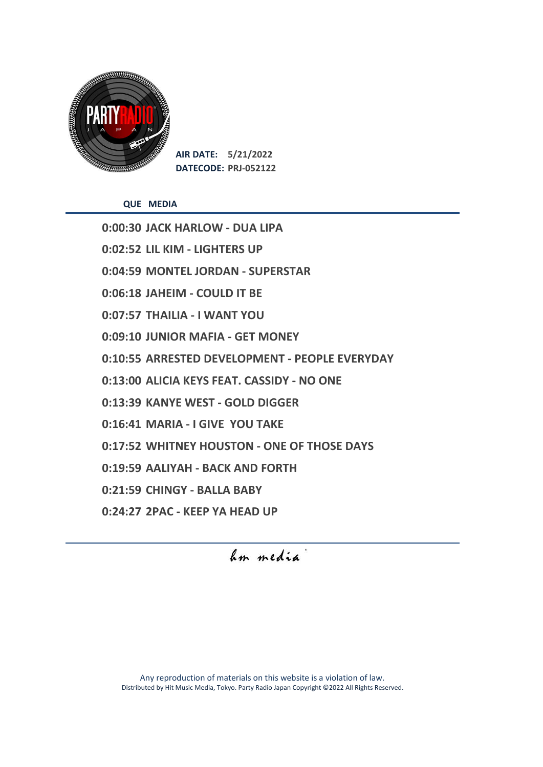

**AIR DATE: 5/21/2022 DATECODE: PRJ-052122**

**QUE MEDIA**

**0:00:30 JACK HARLOW - DUA LIPA**

**0:02:52 LIL KIM - LIGHTERS UP** 

**0:04:59 MONTEL JORDAN - SUPERSTAR**

**0:06:18 JAHEIM - COULD IT BE** 

**0:07:57 THAILIA - I WANT YOU**

**0:09:10 JUNIOR MAFIA - GET MONEY**

**0:10:55 ARRESTED DEVELOPMENT - PEOPLE EVERYDAY**

**0:13:00 ALICIA KEYS FEAT. CASSIDY - NO ONE** 

**0:13:39 KANYE WEST - GOLD DIGGER**

**0:16:41 MARIA - I GIVE YOU TAKE**

**0:17:52 WHITNEY HOUSTON - ONE OF THOSE DAYS**

**0:19:59 AALIYAH - BACK AND FORTH**

**0:21:59 CHINGY - BALLA BABY** 

**0:24:27 2PAC - KEEP YA HEAD UP**

hm media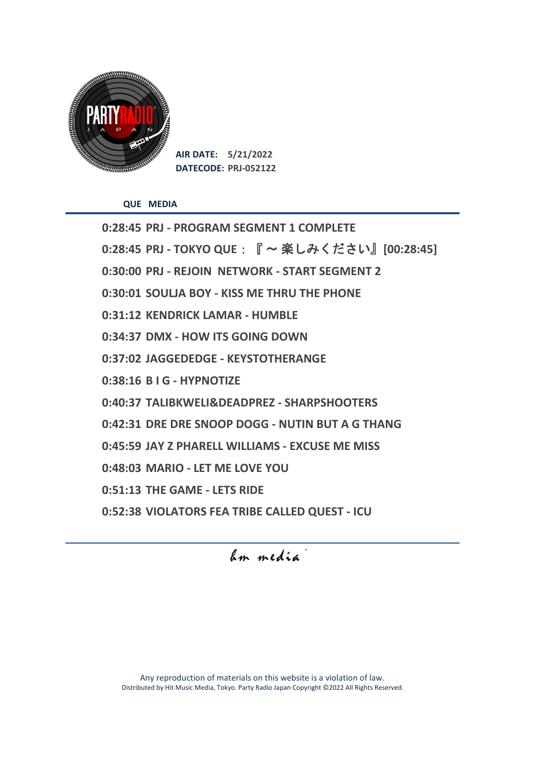

**AIR DATE: 5/21/2022 DATECODE: PRJ-052122**

**QUE MEDIA**

**0:28:45 PRJ - PROGRAM SEGMENT 1 COMPLETE 0:28:45 PRJ - TOKYO QUE**:『 〜 楽しみください』**[00:28:45] 0:30:00 PRJ - REJOIN NETWORK - START SEGMENT 2 0:30:01 SOULJA BOY - KISS ME THRU THE PHONE 0:31:12 KENDRICK LAMAR - HUMBLE 0:34:37 DMX - HOW ITS GOING DOWN 0:37:02 JAGGEDEDGE - KEYSTOTHERANGE 0:38:16 B I G - HYPNOTIZE 0:40:37 TALIBKWELI&DEADPREZ - SHARPSHOOTERS 0:42:31 DRE DRE SNOOP DOGG - NUTIN BUT A G THANG 0:45:59 JAY Z PHARELL WILLIAMS - EXCUSE ME MISS 0:48:03 MARIO - LET ME LOVE YOU 0:51:13 THE GAME - LETS RIDE 0:52:38 VIOLATORS FEA TRIBE CALLED QUEST - ICU**

hm media